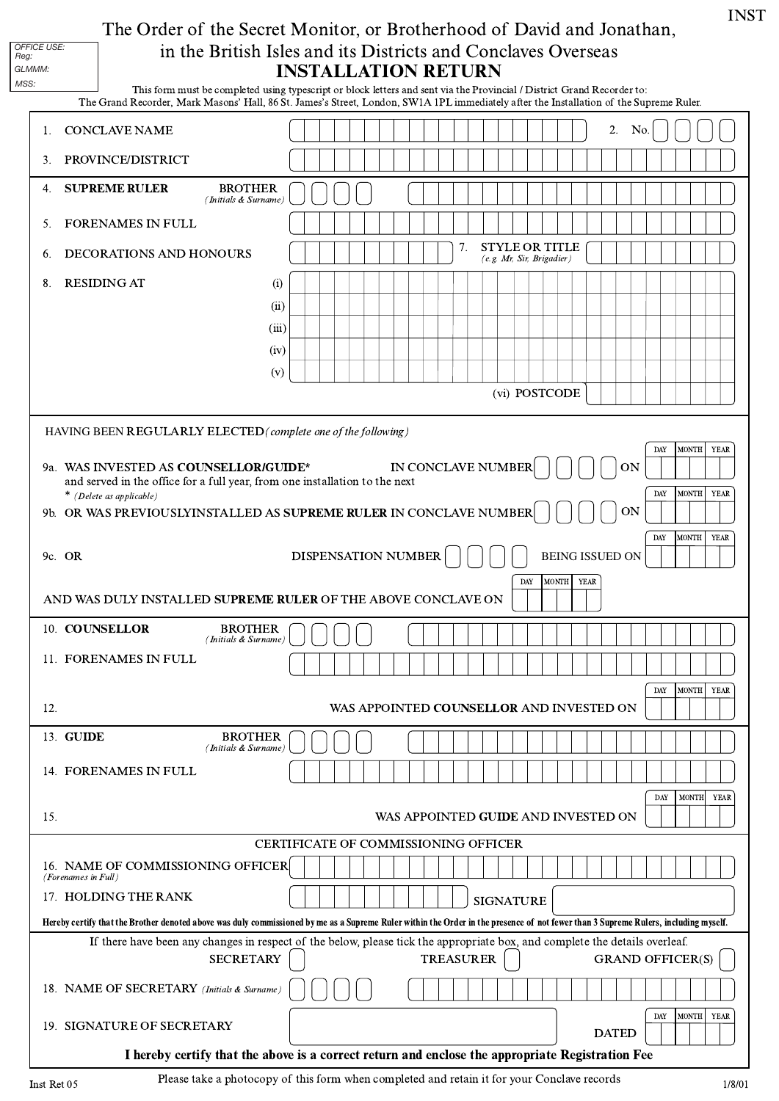## INSTALLATION RETURN The Order of the Secret Monitor, or Brotherhood of David and Jonathan, in the British Isles and its Districts and Conclaves Overseas

| GLMMM:<br>MSS:                                                                                                                                                                      |                                                                                                                                                                                                                                                                                                                     |                                                                                                          | <b>INSTALLATION RETURN</b>                                                                                                                                                                                                                                         |  |  |
|-------------------------------------------------------------------------------------------------------------------------------------------------------------------------------------|---------------------------------------------------------------------------------------------------------------------------------------------------------------------------------------------------------------------------------------------------------------------------------------------------------------------|----------------------------------------------------------------------------------------------------------|--------------------------------------------------------------------------------------------------------------------------------------------------------------------------------------------------------------------------------------------------------------------|--|--|
|                                                                                                                                                                                     |                                                                                                                                                                                                                                                                                                                     |                                                                                                          | This form must be completed using typescript or block letters and sent via the Provincial / District Grand Recorder to:<br>The Grand Recorder, Mark Masons' Hall, 86 St. James's Street, London, SW1A 1PL immediately after the Installation of the Supreme Ruler. |  |  |
| 1.                                                                                                                                                                                  | <b>CONCLAVE NAME</b>                                                                                                                                                                                                                                                                                                |                                                                                                          | 2.<br>No.                                                                                                                                                                                                                                                          |  |  |
| 3.                                                                                                                                                                                  | PROVINCE/DISTRICT                                                                                                                                                                                                                                                                                                   |                                                                                                          |                                                                                                                                                                                                                                                                    |  |  |
| 4.                                                                                                                                                                                  | <b>SUPREME RULER</b>                                                                                                                                                                                                                                                                                                | <b>BROTHER</b><br>(Initials & Surname)                                                                   |                                                                                                                                                                                                                                                                    |  |  |
| 5.                                                                                                                                                                                  | FORENAMES IN FULL                                                                                                                                                                                                                                                                                                   |                                                                                                          |                                                                                                                                                                                                                                                                    |  |  |
| 6.                                                                                                                                                                                  | DECORATIONS AND HONOURS                                                                                                                                                                                                                                                                                             |                                                                                                          | <b>STYLE OR TITLE</b><br>7.<br>(e.g. Mr, Sir, Brigadier)                                                                                                                                                                                                           |  |  |
| 8.                                                                                                                                                                                  | <b>RESIDING AT</b>                                                                                                                                                                                                                                                                                                  |                                                                                                          | (i)                                                                                                                                                                                                                                                                |  |  |
|                                                                                                                                                                                     |                                                                                                                                                                                                                                                                                                                     |                                                                                                          | (ii)                                                                                                                                                                                                                                                               |  |  |
|                                                                                                                                                                                     |                                                                                                                                                                                                                                                                                                                     |                                                                                                          | (iii)<br>(iv)                                                                                                                                                                                                                                                      |  |  |
|                                                                                                                                                                                     |                                                                                                                                                                                                                                                                                                                     |                                                                                                          | (v)                                                                                                                                                                                                                                                                |  |  |
|                                                                                                                                                                                     |                                                                                                                                                                                                                                                                                                                     |                                                                                                          | (vi) POSTCODE                                                                                                                                                                                                                                                      |  |  |
|                                                                                                                                                                                     |                                                                                                                                                                                                                                                                                                                     |                                                                                                          | HAVING BEEN REGULARLY ELECTED (complete one of the following)                                                                                                                                                                                                      |  |  |
|                                                                                                                                                                                     | MONTH YEAR<br>DAY<br>9a. WAS INVESTED AS COUNSELLOR/GUIDE*<br>IN CONCLAVE NUMBER<br><b>ON</b><br>and served in the office for a full year, from one installation to the next<br>MONTH<br>YEAR<br>DAY<br>* (Delete as applicable)<br><b>ON</b><br>9b. OR WAS PREVIOUSLYINSTALLED AS SUPREME RULER IN CONCLAVE NUMBER |                                                                                                          |                                                                                                                                                                                                                                                                    |  |  |
|                                                                                                                                                                                     | 9c. OR                                                                                                                                                                                                                                                                                                              | MONTH YEAR<br><b>DAY</b><br>DISPENSATION NUMBER<br><b>BEING ISSUED ON</b><br>MONTH<br><b>YEAR</b><br>DAY |                                                                                                                                                                                                                                                                    |  |  |
|                                                                                                                                                                                     |                                                                                                                                                                                                                                                                                                                     |                                                                                                          | AND WAS DULY INSTALLED SUPREME RULER OF THE ABOVE CONCLAVE ON                                                                                                                                                                                                      |  |  |
|                                                                                                                                                                                     | 10. COUNSELLOR                                                                                                                                                                                                                                                                                                      | <b>BROTHER</b><br>(Initials & Surname)                                                                   |                                                                                                                                                                                                                                                                    |  |  |
|                                                                                                                                                                                     | 11. FORENAMES IN FULL                                                                                                                                                                                                                                                                                               |                                                                                                          |                                                                                                                                                                                                                                                                    |  |  |
| 12.                                                                                                                                                                                 |                                                                                                                                                                                                                                                                                                                     | MONTH YEAR<br>DAY<br>WAS APPOINTED COUNSELLOR AND INVESTED ON                                            |                                                                                                                                                                                                                                                                    |  |  |
|                                                                                                                                                                                     | 13. GUIDE                                                                                                                                                                                                                                                                                                           | <b>BROTHER</b><br>(Initials & Surname)                                                                   |                                                                                                                                                                                                                                                                    |  |  |
|                                                                                                                                                                                     | 14. FORENAMES IN FULL                                                                                                                                                                                                                                                                                               |                                                                                                          |                                                                                                                                                                                                                                                                    |  |  |
| 15.                                                                                                                                                                                 |                                                                                                                                                                                                                                                                                                                     |                                                                                                          | MONTH YEAR<br><b>DAY</b><br>WAS APPOINTED GUIDE AND INVESTED ON                                                                                                                                                                                                    |  |  |
|                                                                                                                                                                                     |                                                                                                                                                                                                                                                                                                                     |                                                                                                          | <b>CERTIFICATE OF COMMISSIONING OFFICER</b>                                                                                                                                                                                                                        |  |  |
|                                                                                                                                                                                     | 16. NAME OF COMMISSIONING OFFICER<br>(Forenames in Full)                                                                                                                                                                                                                                                            |                                                                                                          |                                                                                                                                                                                                                                                                    |  |  |
| 17. HOLDING THE RANK<br><b>SIGNATURE</b>                                                                                                                                            |                                                                                                                                                                                                                                                                                                                     |                                                                                                          |                                                                                                                                                                                                                                                                    |  |  |
| Hereby certify that the Brother denoted above was duly commissioned by me as a Supreme Ruler within the Order in the presence of not fewer than 3 Supreme Rulers, including myself. |                                                                                                                                                                                                                                                                                                                     |                                                                                                          |                                                                                                                                                                                                                                                                    |  |  |
|                                                                                                                                                                                     |                                                                                                                                                                                                                                                                                                                     | <b>SECRETARY</b>                                                                                         | If there have been any changes in respect of the below, please tick the appropriate box, and complete the details overleaf.<br><b>TREASURER</b><br><b>GRAND OFFICER(S)</b>                                                                                         |  |  |
|                                                                                                                                                                                     | 18. NAME OF SECRETARY (Initials & Surname)                                                                                                                                                                                                                                                                          |                                                                                                          |                                                                                                                                                                                                                                                                    |  |  |
|                                                                                                                                                                                     | 19. SIGNATURE OF SECRETARY                                                                                                                                                                                                                                                                                          |                                                                                                          | MONTH YEAR<br>DAY<br><b>DATED</b>                                                                                                                                                                                                                                  |  |  |
| I hereby certify that the above is a correct return and enclose the appropriate Registration Fee                                                                                    |                                                                                                                                                                                                                                                                                                                     |                                                                                                          |                                                                                                                                                                                                                                                                    |  |  |

*OFFICE USE: Reg:*